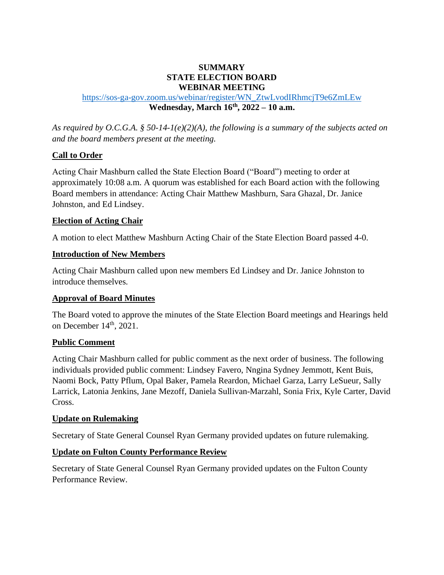## **SUMMARY STATE ELECTION BOARD WEBINAR MEETING**

## [https://sos-ga-gov.zoom.us/webinar/register/WN\\_ZtwLvodIRhmcjT9e6ZmLEw](https://sos-ga-gov.zoom.us/webinar/register/WN_ZtwLvodIRhmcjT9e6ZmLEw) **Wednesday, March 16th, 2022 – 10 a.m.**

*As required by O.C.G.A. § 50-14-1(e)(2)(A), the following is a summary of the subjects acted on and the board members present at the meeting.*

## **Call to Order**

Acting Chair Mashburn called the State Election Board ("Board") meeting to order at approximately 10:08 a.m. A quorum was established for each Board action with the following Board members in attendance: Acting Chair Matthew Mashburn, Sara Ghazal, Dr. Janice Johnston, and Ed Lindsey.

## **Election of Acting Chair**

A motion to elect Matthew Mashburn Acting Chair of the State Election Board passed 4-0.

## **Introduction of New Members**

Acting Chair Mashburn called upon new members Ed Lindsey and Dr. Janice Johnston to introduce themselves.

## **Approval of Board Minutes**

The Board voted to approve the minutes of the State Election Board meetings and Hearings held on December  $14<sup>th</sup>$ , 2021.

## **Public Comment**

Acting Chair Mashburn called for public comment as the next order of business. The following individuals provided public comment: Lindsey Favero, Nngina Sydney Jemmott, Kent Buis, Naomi Bock, Patty Pflum, Opal Baker, Pamela Reardon, Michael Garza, Larry LeSueur, Sally Larrick, Latonia Jenkins, Jane Mezoff, Daniela Sullivan-Marzahl, Sonia Frix, Kyle Carter, David Cross.

### **Update on Rulemaking**

Secretary of State General Counsel Ryan Germany provided updates on future rulemaking.

## **Update on Fulton County Performance Review**

Secretary of State General Counsel Ryan Germany provided updates on the Fulton County Performance Review.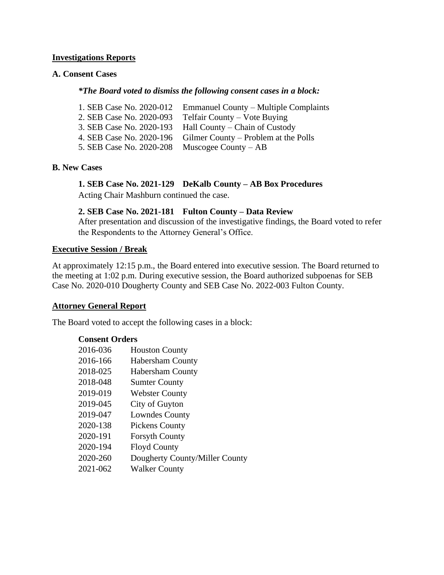### **Investigations Reports**

## **A. Consent Cases**

#### *\*The Board voted to dismiss the following consent cases in a block:*

|                          | 1. SEB Case No. 2020-012 Emmanuel County – Multiple Complaints |
|--------------------------|----------------------------------------------------------------|
| 2. SEB Case No. 2020-093 | Telfair County – Vote Buying                                   |
|                          | 3. SEB Case No. 2020-193 Hall County – Chain of Custody        |
|                          | 4. SEB Case No. 2020-196 Gilmer County – Problem at the Polls  |
| 5. SEB Case No. 2020-208 | Muscogee County $-AB$                                          |

#### **B. New Cases**

## **1. SEB Case No. 2021-129 DeKalb County – AB Box Procedures**

Acting Chair Mashburn continued the case.

## **2. SEB Case No. 2021-181 Fulton County – Data Review**

After presentation and discussion of the investigative findings, the Board voted to refer the Respondents to the Attorney General's Office.

### **Executive Session / Break**

At approximately 12:15 p.m., the Board entered into executive session. The Board returned to the meeting at 1:02 p.m. During executive session, the Board authorized subpoenas for SEB Case No. 2020-010 Dougherty County and SEB Case No. 2022-003 Fulton County.

#### **Attorney General Report**

The Board voted to accept the following cases in a block:

### **Consent Orders**

| 2016-036 | <b>Houston County</b>          |
|----------|--------------------------------|
| 2016-166 | <b>Habersham County</b>        |
| 2018-025 | <b>Habersham County</b>        |
| 2018-048 | <b>Sumter County</b>           |
| 2019-019 | <b>Webster County</b>          |
| 2019-045 | City of Guyton                 |
| 2019-047 | <b>Lowndes County</b>          |
| 2020-138 | <b>Pickens County</b>          |
| 2020-191 | <b>Forsyth County</b>          |
| 2020-194 | <b>Floyd County</b>            |
| 2020-260 | Dougherty County/Miller County |
| 2021-062 | <b>Walker County</b>           |